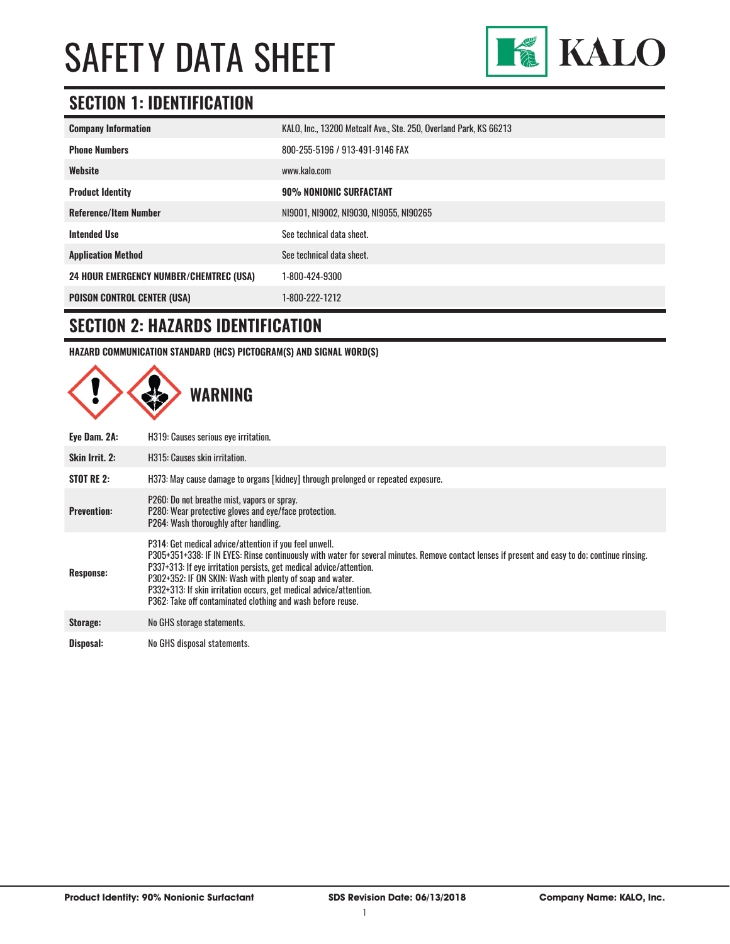

# **SECTION 1: IDENTIFICATION**

| <b>Company Information</b>                     | KALO, Inc., 13200 Metcalf Ave., Ste. 250, Overland Park, KS 66213 |
|------------------------------------------------|-------------------------------------------------------------------|
| <b>Phone Numbers</b>                           | 800-255-5196 / 913-491-9146 FAX                                   |
| Website                                        | www.kalo.com                                                      |
| <b>Product Identity</b>                        | 90% NONIONIC SURFACTANT                                           |
| <b>Reference/Item Number</b>                   | NI9001, NI9002, NI9030, NI9055, NI90265                           |
| <b>Intended Use</b>                            | See technical data sheet.                                         |
| <b>Application Method</b>                      | See technical data sheet.                                         |
| <b>24 HOUR EMERGENCY NUMBER/CHEMTREC (USA)</b> | 1-800-424-9300                                                    |
| <b>POISON CONTROL CENTER (USA)</b>             | 1-800-222-1212                                                    |

#### **SECTION 2: HAZARDS IDENTIFICATION**

**HAZARD COMMUNICATION STANDARD (HCS) PICTOGRAM(S) AND SIGNAL WORD(S)**

|                    | <b>WARNING</b>                                                                                                                                                                                                                                                                                                                                                                                                                                                                     |
|--------------------|------------------------------------------------------------------------------------------------------------------------------------------------------------------------------------------------------------------------------------------------------------------------------------------------------------------------------------------------------------------------------------------------------------------------------------------------------------------------------------|
| Eye Dam. 2A:       | H319: Causes serious eye irritation.                                                                                                                                                                                                                                                                                                                                                                                                                                               |
| Skin Irrit. 2:     | H315: Causes skin irritation.                                                                                                                                                                                                                                                                                                                                                                                                                                                      |
| <b>STOT RE 2:</b>  | H373: May cause damage to organs [kidney] through prolonged or repeated exposure.                                                                                                                                                                                                                                                                                                                                                                                                  |
| <b>Prevention:</b> | P260: Do not breathe mist, vapors or spray.<br>P280: Wear protective gloves and eye/face protection.<br>P264: Wash thoroughly after handling.                                                                                                                                                                                                                                                                                                                                      |
| <b>Response:</b>   | P314: Get medical advice/attention if you feel unwell.<br>P305+351+338: IF IN EYES: Rinse continuously with water for several minutes. Remove contact lenses if present and easy to do; continue rinsing.<br>P337+313: If eye irritation persists, get medical advice/attention.<br>P302+352: IF ON SKIN: Wash with plenty of soap and water.<br>P332+313: If skin irritation occurs, get medical advice/attention.<br>P362: Take off contaminated clothing and wash before reuse. |
| Storage:           | No GHS storage statements.                                                                                                                                                                                                                                                                                                                                                                                                                                                         |
| Disposal:          | No GHS disposal statements.                                                                                                                                                                                                                                                                                                                                                                                                                                                        |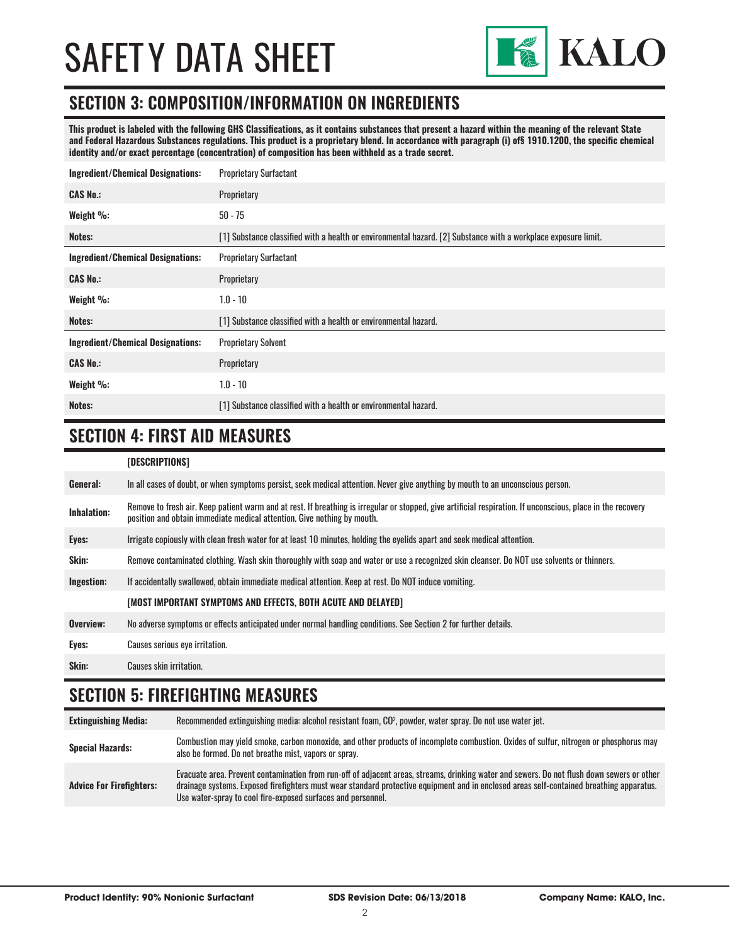

#### **SECTION 3: COMPOSITION/INFORMATION ON INGREDIENTS**

**This product is labeled with the following GHS Classifications, as it contains substances that present a hazard within the meaning of the relevant State and Federal Hazardous Substances regulations. This product is a proprietary blend. In accordance with paragraph (i) of§ 1910.1200, the specific chemical identity and/or exact percentage (concentration) of composition has been withheld as a trade secret.**

| <b>Ingredient/Chemical Designations:</b> | <b>Proprietary Surfactant</b>                                                                                  |  |
|------------------------------------------|----------------------------------------------------------------------------------------------------------------|--|
| <b>CAS No.:</b>                          | Proprietary                                                                                                    |  |
| Weight %:                                | $50 - 75$                                                                                                      |  |
| Notes:                                   | [1] Substance classified with a health or environmental hazard. [2] Substance with a workplace exposure limit. |  |
| <b>Ingredient/Chemical Designations:</b> | <b>Proprietary Surfactant</b>                                                                                  |  |
| <b>CAS No.:</b>                          | Proprietary                                                                                                    |  |
| Weight %:                                | $1.0 - 10$                                                                                                     |  |
| Notes:                                   | [1] Substance classified with a health or environmental hazard.                                                |  |
| <b>Ingredient/Chemical Designations:</b> | <b>Proprietary Solvent</b>                                                                                     |  |
| <b>CAS No.:</b>                          | Proprietary                                                                                                    |  |
| Weight %:                                | $1.0 - 10$                                                                                                     |  |
| Notes:                                   | [1] Substance classified with a health or environmental hazard.                                                |  |

### **SECTION 4: FIRST AID MEASURES**

#### **[DESCRIPTIONS]**

| General:           | In all cases of doubt, or when symptoms persist, seek medical attention. Never give anything by mouth to an unconscious person.                                                                                                         |
|--------------------|-----------------------------------------------------------------------------------------------------------------------------------------------------------------------------------------------------------------------------------------|
| <b>Inhalation:</b> | Remove to fresh air. Keep patient warm and at rest. If breathing is irregular or stopped, give artificial respiration. If unconscious, place in the recovery<br>position and obtain immediate medical attention. Give nothing by mouth. |
| Eyes:              | Irrigate copiously with clean fresh water for at least 10 minutes, holding the eyelids apart and seek medical attention.                                                                                                                |
| Skin:              | Remove contaminated clothing. Wash skin thoroughly with soap and water or use a recognized skin cleanser. Do NOT use solvents or thinners.                                                                                              |
| Ingestion:         | If accidentally swallowed, obtain immediate medical attention. Keep at rest, Do NOT induce vomiting.                                                                                                                                    |
|                    | [MOST IMPORTANT SYMPTOMS AND EFFECTS, BOTH ACUTE AND DELAYED]                                                                                                                                                                           |
| Overview:          | No adverse symptoms or effects anticipated under normal handling conditions. See Section 2 for further details.                                                                                                                         |
| Eyes:              | <b>Causes serious eye irritation.</b>                                                                                                                                                                                                   |
| Skin:              | Causes skin irritation.                                                                                                                                                                                                                 |

#### **SECTION 5: FIREFIGHTING MEASURES**

**Extinguishing Media:** Recommended extinguishing media: alcohol resistant foam, CO2 , powder, water spray. Do not use water jet. Special Hazards:<br> **Special Hazards:** Combustion may yield smoke, carbon monoxide, and other products of incomplete combustion. Oxides of sulfur, nitrogen or phosphorus may also be formed. Do not breathe mist, vapors or spray. **Advice For Firefighters:** Evacuate area. Prevent contamination from run-off of adjacent areas, streams, drinking water and sewers. Do not flush down sewers or other drainage systems. Exposed firefighters must wear standard protective equipment and in enclosed areas self-contained breathing apparatus. Use water-spray to cool fire-exposed surfaces and personnel.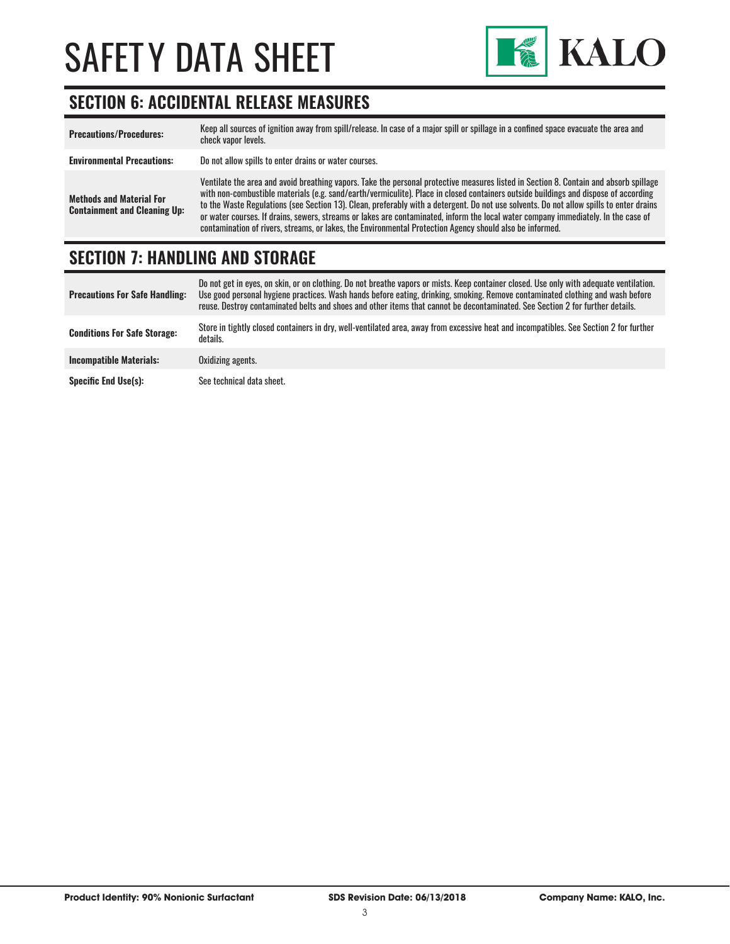

### **SECTION 6: ACCIDENTAL RELEASE MEASURES**

| <b>Precautions/Procedures:</b>                                         | Keep all sources of ignition away from spill/release. In case of a major spill or spillage in a confined space evacuate the area and<br>check vapor levels.                                                                                                                                                                                                                                                                                                                                                                                                                                                                                                               |
|------------------------------------------------------------------------|---------------------------------------------------------------------------------------------------------------------------------------------------------------------------------------------------------------------------------------------------------------------------------------------------------------------------------------------------------------------------------------------------------------------------------------------------------------------------------------------------------------------------------------------------------------------------------------------------------------------------------------------------------------------------|
| <b>Environmental Precautions:</b>                                      | Do not allow spills to enter drains or water courses.                                                                                                                                                                                                                                                                                                                                                                                                                                                                                                                                                                                                                     |
| <b>Methods and Material For</b><br><b>Containment and Cleaning Up:</b> | Ventilate the area and avoid breathing vapors. Take the personal protective measures listed in Section 8. Contain and absorb spillage<br>with non-combustible materials (e.g. sand/earth/vermiculite). Place in closed containers outside buildings and dispose of according<br>to the Waste Regulations (see Section 13). Clean, preferably with a detergent. Do not use solvents. Do not allow spills to enter drains<br>or water courses. If drains, sewers, streams or lakes are contaminated, inform the local water company immediately. In the case of<br>contamination of rivers, streams, or lakes, the Environmental Protection Agency should also be informed. |

#### **SECTION 7: HANDLING AND STORAGE**

| <b>Precautions For Safe Handling:</b> | Do not get in eyes, on skin, or on clothing. Do not breathe vapors or mists. Keep container closed. Use only with adequate ventilation.<br>Use good personal hygiene practices. Wash hands before eating, drinking, smoking. Remove contaminated clothing and wash before<br>reuse. Destroy contaminated belts and shoes and other items that cannot be decontaminated. See Section 2 for further details. |
|---------------------------------------|------------------------------------------------------------------------------------------------------------------------------------------------------------------------------------------------------------------------------------------------------------------------------------------------------------------------------------------------------------------------------------------------------------|
| <b>Conditions For Safe Storage:</b>   | Store in tightly closed containers in dry, well-ventilated area, away from excessive heat and incompatibles. See Section 2 for further<br>details.                                                                                                                                                                                                                                                         |
| <b>Incompatible Materials:</b>        | Oxidizing agents.                                                                                                                                                                                                                                                                                                                                                                                          |
| <b>Specific End Use(s):</b>           | See technical data sheet.                                                                                                                                                                                                                                                                                                                                                                                  |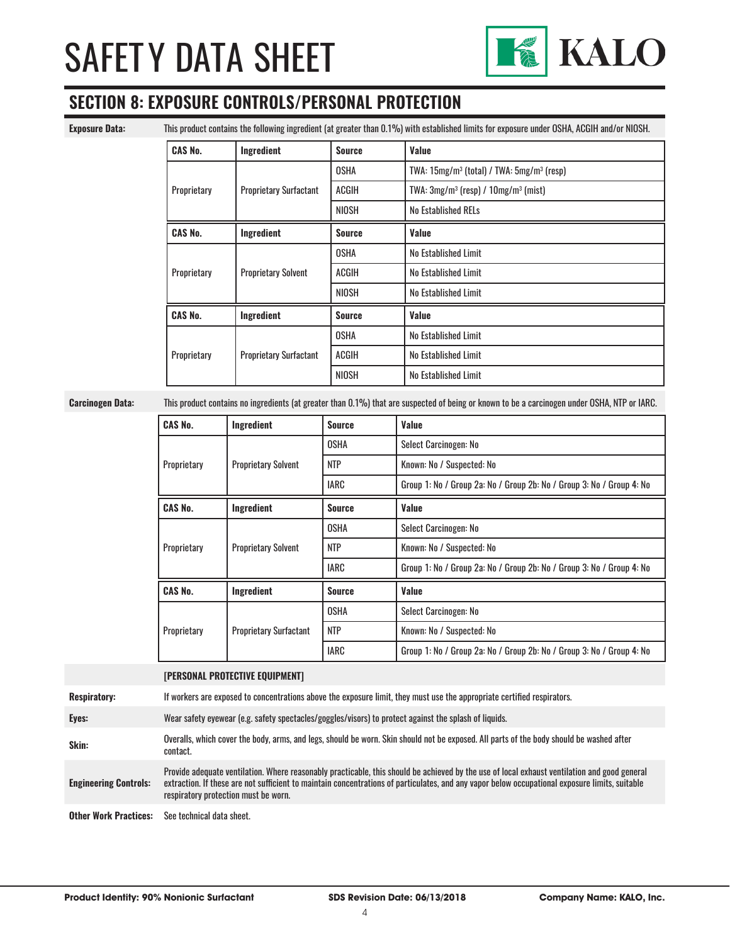

### **SECTION 8: EXPOSURE CONTROLS/PERSONAL PROTECTION**

**Exposure Data:** This product contains the following ingredient (at greater than 0.1%) with established limits for exposure under OSHA, ACGIH and/or NIOSH.

| <b>CAS No.</b> | Ingredient                    | <b>Source</b> | Value                                           |
|----------------|-------------------------------|---------------|-------------------------------------------------|
| Proprietary    | <b>Proprietary Surfactant</b> | OSHA          | TWA: $15mg/m^3$ (total) / TWA: $5mg/m^3$ (resp) |
|                |                               | ACGIH         | TWA: $3mg/m^3$ (resp) / $10mg/m^3$ (mist)       |
|                |                               | NIOSH         | <b>No Established RELs</b>                      |
| <b>CAS No.</b> | Ingredient                    | <b>Source</b> | Value                                           |
| Proprietary    |                               | <b>OSHA</b>   | No Established Limit                            |
|                | <b>Proprietary Solvent</b>    | ACGIH         | No Established Limit                            |
|                |                               | <b>NIOSH</b>  | No Established Limit                            |
| <b>CAS No.</b> | Ingredient                    | <b>Source</b> | Value                                           |
| Proprietary    | <b>Proprietary Surfactant</b> | <b>OSHA</b>   | No Established Limit                            |
|                |                               | <b>ACGIH</b>  | No Established Limit                            |
|                |                               | <b>NIOSH</b>  | No Established Limit                            |

**Carcinogen Data:** This product contains no ingredients (at greater than 0.1%) that are suspected of being or known to be a carcinogen under OSHA, NTP or IARC.

| <b>CAS No.</b> | Ingredient                    | <b>Source</b> | Value                                                                 |
|----------------|-------------------------------|---------------|-----------------------------------------------------------------------|
| Proprietary    | <b>Proprietary Solvent</b>    | <b>OSHA</b>   | Select Carcinogen: No                                                 |
|                |                               | <b>NTP</b>    | Known: No / Suspected: No                                             |
|                |                               | <b>IARC</b>   | Group 1: No / Group 2a: No / Group 2b: No / Group 3: No / Group 4: No |
| <b>CAS No.</b> | Ingredient                    | <b>Source</b> | Value                                                                 |
| Proprietary    |                               | <b>OSHA</b>   | Select Carcinogen: No                                                 |
|                | <b>Proprietary Solvent</b>    | <b>NTP</b>    | Known: No / Suspected: No                                             |
|                |                               | <b>IARC</b>   | Group 1: No / Group 2a: No / Group 2b: No / Group 3: No / Group 4: No |
| <b>CAS No.</b> | Ingredient                    | <b>Source</b> | Value                                                                 |
| Proprietary    | <b>Proprietary Surfactant</b> | OSHA          | Select Carcinogen: No                                                 |
|                |                               | <b>NTP</b>    | Known: No / Suspected: No                                             |
|                |                               | <b>IARC</b>   | Group 1: No / Group 2a: No / Group 2b: No / Group 3: No / Group 4: No |

**[PERSONAL PROTECTIVE EQUIPMENT]**

**Respiratory:** If workers are exposed to concentrations above the exposure limit, they must use the appropriate certified respirators.

**Eyes:** Wear safety eyewear (e.g. safety spectacles/goggles/visors) to protect against the splash of liquids.

**Skin:** Overalls, which cover the body, arms, and legs, should be worn. Skin should not be exposed. All parts of the body should be washed after contact.

**Engineering Controls:** Provide adequate ventilation. Where reasonably practicable, this should be achieved by the use of local exhaust ventilation and good general extraction. If these are not sufficient to maintain concentrations of particulates, and any vapor below occupational exposure limits, suitable respiratory protection must be worn.

**Other Work Practices:** See technical data sheet.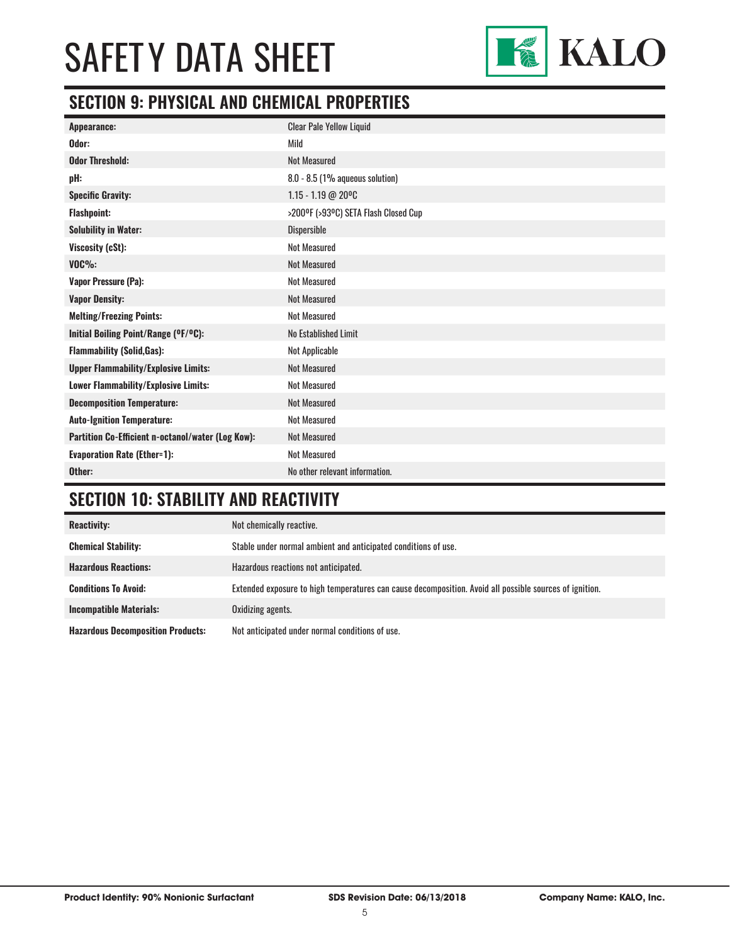

### **SECTION 9: PHYSICAL AND CHEMICAL PROPERTIES**

| Appearance:                                       | <b>Clear Pale Yellow Liquid</b>      |
|---------------------------------------------------|--------------------------------------|
| Odor:                                             | Mild                                 |
| <b>Odor Threshold:</b>                            | <b>Not Measured</b>                  |
| pH:                                               | $8.0 - 8.5$ (1% aqueous solution)    |
| <b>Specific Gravity:</b>                          | $1.15 - 1.19$ @ 20°C                 |
| <b>Flashpoint:</b>                                | >200°F (>93°C) SETA Flash Closed Cup |
| <b>Solubility in Water:</b>                       | Dispersible                          |
| Viscosity (cSt):                                  | <b>Not Measured</b>                  |
| $VOC\%$ :                                         | <b>Not Measured</b>                  |
| <b>Vapor Pressure (Pa):</b>                       | <b>Not Measured</b>                  |
| <b>Vapor Density:</b>                             | <b>Not Measured</b>                  |
| <b>Melting/Freezing Points:</b>                   | <b>Not Measured</b>                  |
| Initial Boiling Point/Range (OF/OC):              | No Established Limit                 |
| <b>Flammability (Solid, Gas):</b>                 | Not Applicable                       |
| <b>Upper Flammability/Explosive Limits:</b>       | <b>Not Measured</b>                  |
| Lower Flammability/Explosive Limits:              | <b>Not Measured</b>                  |
| <b>Decomposition Temperature:</b>                 | <b>Not Measured</b>                  |
| <b>Auto-Ignition Temperature:</b>                 | <b>Not Measured</b>                  |
| Partition Co-Efficient n-octanol/water (Log Kow): | <b>Not Measured</b>                  |
| <b>Evaporation Rate (Ether=1):</b>                | <b>Not Measured</b>                  |
| Other:                                            | No other relevant information.       |

# **SECTION 10: STABILITY AND REACTIVITY**

| <b>Reactivity:</b>                       | Not chemically reactive.                                                                                |
|------------------------------------------|---------------------------------------------------------------------------------------------------------|
| <b>Chemical Stability:</b>               | Stable under normal ambient and anticipated conditions of use.                                          |
| <b>Hazardous Reactions:</b>              | Hazardous reactions not anticipated.                                                                    |
| <b>Conditions To Avoid:</b>              | Extended exposure to high temperatures can cause decomposition. Avoid all possible sources of ignition. |
| <b>Incompatible Materials:</b>           | Oxidizing agents.                                                                                       |
| <b>Hazardous Decomposition Products:</b> | Not anticipated under normal conditions of use.                                                         |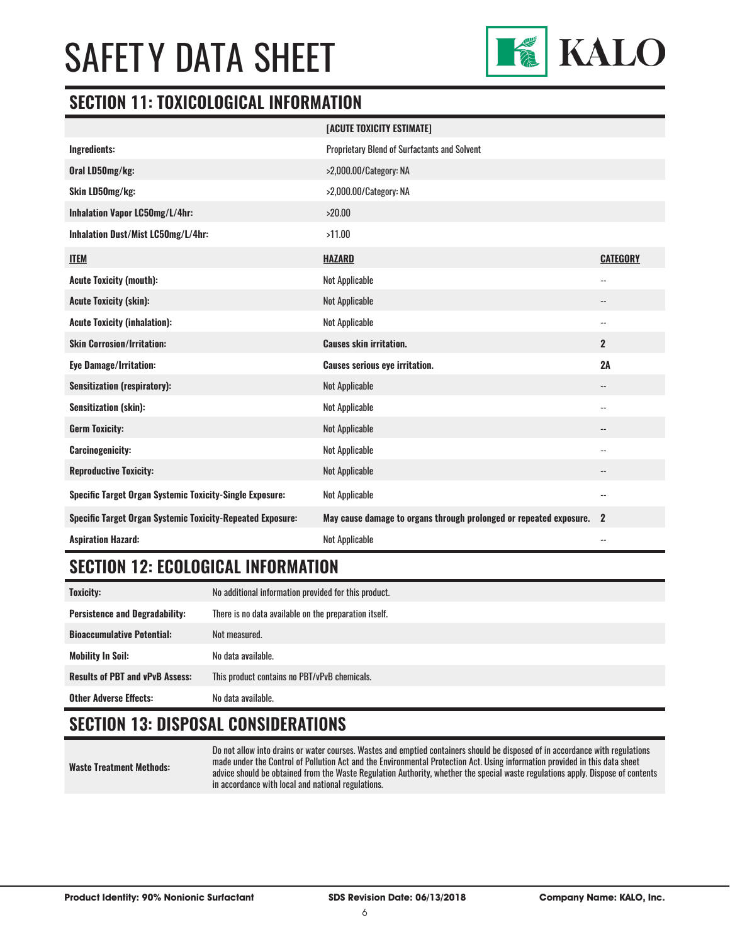

#### **SECTION 11: TOXICOLOGICAL INFORMATION**

|                                                                   | [ACUTE TOXICITY ESTIMATE]                                          |                          |
|-------------------------------------------------------------------|--------------------------------------------------------------------|--------------------------|
| Ingredients:                                                      | Proprietary Blend of Surfactants and Solvent                       |                          |
| Oral LD50mg/kg:                                                   | >2,000.00/Category: NA                                             |                          |
| Skin LD50mg/kg:                                                   | >2,000.00/Category: NA                                             |                          |
| <b>Inhalation Vapor LC50mg/L/4hr:</b>                             | >20.00                                                             |                          |
| Inhalation Dust/Mist LC50mg/L/4hr:                                | >11.00                                                             |                          |
| <b>ITEM</b>                                                       | <b>HAZARD</b>                                                      | <b>CATEGORY</b>          |
| <b>Acute Toxicity (mouth):</b>                                    | Not Applicable                                                     | $\overline{\phantom{a}}$ |
| <b>Acute Toxicity (skin):</b>                                     | Not Applicable                                                     | --                       |
| <b>Acute Toxicity (inhalation):</b>                               | Not Applicable                                                     | $\overline{\phantom{a}}$ |
| <b>Skin Corrosion/Irritation:</b>                                 | <b>Causes skin irritation.</b>                                     | $\mathbf{2}$             |
|                                                                   |                                                                    |                          |
| <b>Eye Damage/Irritation:</b>                                     | <b>Causes serious eye irritation.</b>                              | 2A                       |
| <b>Sensitization (respiratory):</b>                               | <b>Not Applicable</b>                                              | $-$                      |
| <b>Sensitization (skin):</b>                                      | <b>Not Applicable</b>                                              | $-$                      |
| <b>Germ Toxicity:</b>                                             | <b>Not Applicable</b>                                              | --                       |
| <b>Carcinogenicity:</b>                                           | Not Applicable                                                     | $-$                      |
| <b>Reproductive Toxicity:</b>                                     | <b>Not Applicable</b>                                              | $\overline{\phantom{a}}$ |
| <b>Specific Target Organ Systemic Toxicity-Single Exposure:</b>   | Not Applicable                                                     | $\overline{\phantom{a}}$ |
| <b>Specific Target Organ Systemic Toxicity-Repeated Exposure:</b> | May cause damage to organs through prolonged or repeated exposure. | $\mathbf{2}$             |

### **SECTION 12: ECOLOGICAL INFORMATION**

| <b>Toxicity:</b>                       | No additional information provided for this product.  |
|----------------------------------------|-------------------------------------------------------|
| <b>Persistence and Degradability:</b>  | There is no data available on the preparation itself. |
| <b>Bioaccumulative Potential:</b>      | Not measured.                                         |
| <b>Mobility In Soil:</b>               | No data available.                                    |
| <b>Results of PBT and vPvB Assess:</b> | This product contains no PBT/vPvB chemicals.          |
| <b>Other Adverse Effects:</b>          | No data available.                                    |

### **SECTION 13: DISPOSAL CONSIDERATIONS**

**Waste Treatment Methods:**

Do not allow into drains or water courses. Wastes and emptied containers should be disposed of in accordance with regulations made under the Control of Pollution Act and the Environmental Protection Act. Using information provided in this data sheet advice should be obtained from the Waste Regulation Authority, whether the special waste regulations apply. Dispose of contents in accordance with local and national regulations.